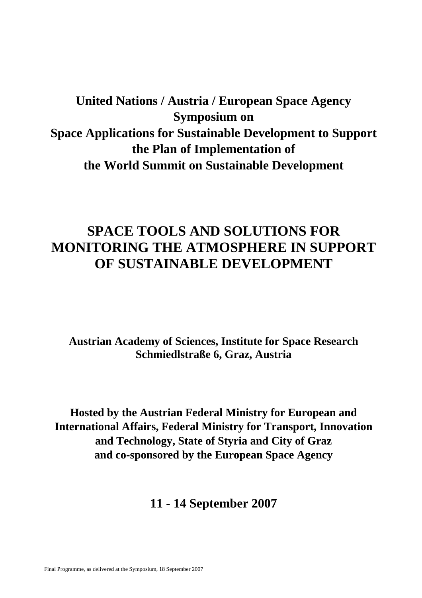# **United Nations / Austria / European Space Agency Symposium on Space Applications for Sustainable Development to Support the Plan of Implementation of the World Summit on Sustainable Development**

# **SPACE TOOLS AND SOLUTIONS FOR MONITORING THE ATMOSPHERE IN SUPPORT OF SUSTAINABLE DEVELOPMENT**

**Austrian Academy of Sciences, Institute for Space Research Schmiedlstraße 6, Graz, Austria** 

**Hosted by the Austrian Federal Ministry for European and International Affairs, Federal Ministry for Transport, Innovation and Technology, State of Styria and City of Graz and co-sponsored by the European Space Agency** 

**11 - 14 September 2007**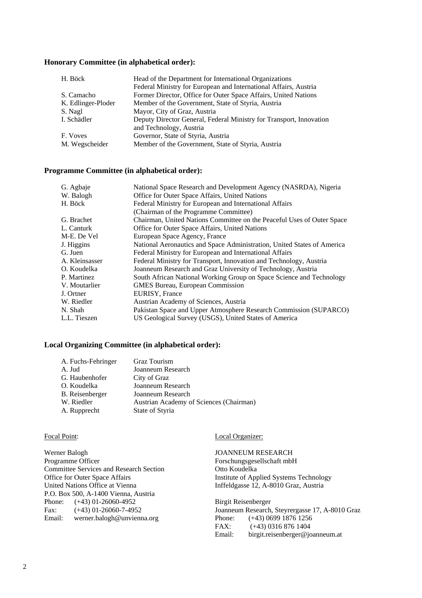#### **Honorary Committee (in alphabetical order):**

| H. Böck            | Head of the Department for International Organizations<br>Federal Ministry for European and International Affairs, Austria |
|--------------------|----------------------------------------------------------------------------------------------------------------------------|
| S. Camacho         | Former Director, Office for Outer Space Affairs, United Nations                                                            |
| K. Edlinger-Ploder | Member of the Government, State of Styria, Austria                                                                         |
| S. Nagl            | Mayor, City of Graz, Austria                                                                                               |
| I. Schädler        | Deputy Director General, Federal Ministry for Transport, Innovation                                                        |
|                    | and Technology, Austria                                                                                                    |
| F. Voves           | Governor, State of Styria, Austria                                                                                         |
| M. Wegscheider     | Member of the Government, State of Styria, Austria                                                                         |

#### **Programme Committee (in alphabetical order):**

| G. Agbaje      | National Space Research and Development Agency (NASRDA), Nigeria        |  |  |
|----------------|-------------------------------------------------------------------------|--|--|
| W. Balogh      | Office for Outer Space Affairs, United Nations                          |  |  |
| H. Böck        | Federal Ministry for European and International Affairs                 |  |  |
|                | (Chairman of the Programme Committee)                                   |  |  |
| G. Brachet     | Chairman, United Nations Committee on the Peaceful Uses of Outer Space  |  |  |
| L. Canturk     | Office for Outer Space Affairs, United Nations                          |  |  |
| M-E. De Vel    | European Space Agency, France                                           |  |  |
| J. Higgins     | National Aeronautics and Space Administration, United States of America |  |  |
| G. Juen        | Federal Ministry for European and International Affairs                 |  |  |
| A. Kleinsasser | Federal Ministry for Transport, Innovation and Technology, Austria      |  |  |
| O. Koudelka    | Joanneum Research and Graz University of Technology, Austria            |  |  |
| P. Martinez    | South African National Working Group on Space Science and Technology    |  |  |
| V. Moutarlier  | <b>GMES Bureau, European Commission</b>                                 |  |  |
| J. Ortner      | EURISY, France                                                          |  |  |
| W. Riedler     | Austrian Academy of Sciences, Austria                                   |  |  |
| N. Shah        | Pakistan Space and Upper Atmosphere Research Commission (SUPARCO)       |  |  |
| L.L. Tieszen   | US Geological Survey (USGS), United States of America                   |  |  |

#### **Local Organizing Committee (in alphabetical order):**

| A. Fuchs-Fehringer | <b>Graz Tourism</b>                     |
|--------------------|-----------------------------------------|
| A. Jud             | Joanneum Research                       |
| G. Haubenhofer     | City of Graz                            |
| O. Koudelka        | Joanneum Research                       |
| B. Reisenberger    | Joanneum Research                       |
| W. Riedler         | Austrian Academy of Sciences (Chairman) |
| A. Rupprecht       | State of Styria                         |

#### Focal Point:

Werner Balogh Programme Officer Committee Services and Research Section Office for Outer Space Affairs United Nations Office at Vienna P.O. Box 500, A-1400 Vienna, Austria Phone:  $(+43)$  01-26060-4952 Fax:  $(+43)$  01-26060-7-4952 Email: werner.balogh@unvienna.org

#### Local Organizer:

JOANNEUM RESEARCH Forschungsgesellschaft mbH Otto Koudelka Institute of Applied Systems Technology Inffeldgasse 12, A-8010 Graz, Austria

Birgit Reisenberger Joanneum Research, Steyrergasse 17, A-8010 Graz Phone: (+43) 0699 1876 1256 FAX: (+43) 0316 876 1404 Email: birgit.reisenberger@joanneum.at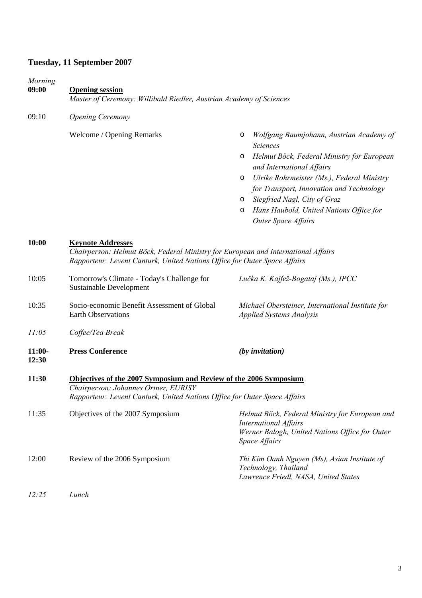## **Tuesday, 11 September 2007**

| Morning<br>09:00  | <b>Opening session</b><br>Master of Ceremony: Willibald Riedler, Austrian Academy of Sciences                                                                                              |                                                                                                                                                                                                                                                                                                                                                                                      |
|-------------------|--------------------------------------------------------------------------------------------------------------------------------------------------------------------------------------------|--------------------------------------------------------------------------------------------------------------------------------------------------------------------------------------------------------------------------------------------------------------------------------------------------------------------------------------------------------------------------------------|
| 09:10             | <b>Opening Ceremony</b>                                                                                                                                                                    |                                                                                                                                                                                                                                                                                                                                                                                      |
|                   | Welcome / Opening Remarks                                                                                                                                                                  | Wolfgang Baumjohann, Austrian Academy of<br>O<br><b>Sciences</b><br>Helmut Böck, Federal Ministry for European<br>O<br>and International Affairs<br>Ulrike Rohrmeister (Ms.), Federal Ministry<br>$\circ$<br>for Transport, Innovation and Technology<br>Siegfried Nagl, City of Graz<br>$\circ$<br>Hans Haubold, United Nations Office for<br>$\circ$<br><b>Outer Space Affairs</b> |
| 10:00             | <b>Keynote Addresses</b><br>Chairperson: Helmut Böck, Federal Ministry for European and International Affairs<br>Rapporteur: Levent Canturk, United Nations Office for Outer Space Affairs |                                                                                                                                                                                                                                                                                                                                                                                      |
| 10:05             | Tomorrow's Climate - Today's Challenge for<br>Sustainable Development                                                                                                                      | Lučka K. Kajfež-Bogataj (Ms.), IPCC                                                                                                                                                                                                                                                                                                                                                  |
| 10:35             | Socio-economic Benefit Assessment of Global<br><b>Earth Observations</b>                                                                                                                   | Michael Obersteiner, International Institute for<br>Applied Systems Analysis                                                                                                                                                                                                                                                                                                         |
| 11:05             | Coffee/Tea Break                                                                                                                                                                           |                                                                                                                                                                                                                                                                                                                                                                                      |
| $11:00-$<br>12:30 | <b>Press Conference</b>                                                                                                                                                                    | $(by$ invitation $)$                                                                                                                                                                                                                                                                                                                                                                 |
| 11:30             | Objectives of the 2007 Symposium and Review of the 2006 Symposium<br>Chairperson: Johannes Ortner, EURISY<br>Rapporteur: Levent Canturk, United Nations Office for Outer Space Affairs     |                                                                                                                                                                                                                                                                                                                                                                                      |
| 11:35             | Objectives of the 2007 Symposium                                                                                                                                                           | Helmut Böck, Federal Ministry for European and<br><b>International Affairs</b><br>Werner Balogh, United Nations Office for Outer<br>Space Affairs                                                                                                                                                                                                                                    |
| 12:00             | Review of the 2006 Symposium                                                                                                                                                               | Thi Kim Oanh Nguyen (Ms), Asian Institute of<br>Technology, Thailand<br>Lawrence Friedl, NASA, United States                                                                                                                                                                                                                                                                         |
| 12:25             | Lunch                                                                                                                                                                                      |                                                                                                                                                                                                                                                                                                                                                                                      |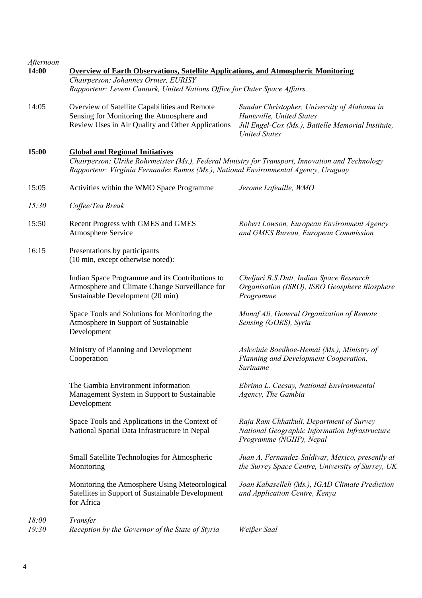| Afternoon<br>14:00 | <b>Overview of Earth Observations, Satellite Applications, and Atmospheric Monitoring</b><br>Chairperson: Johannes Ortner, EURISY<br>Rapporteur: Levent Canturk, United Nations Office for Outer Space Affairs                   |                                                                                                                                                         |
|--------------------|----------------------------------------------------------------------------------------------------------------------------------------------------------------------------------------------------------------------------------|---------------------------------------------------------------------------------------------------------------------------------------------------------|
| 14:05              | Overview of Satellite Capabilities and Remote<br>Sensing for Monitoring the Atmosphere and<br>Review Uses in Air Quality and Other Applications                                                                                  | Sundar Christopher, University of Alabama in<br>Huntsville, United States<br>Jill Engel-Cox (Ms.), Battelle Memorial Institute,<br><b>United States</b> |
| 15:00              | <b>Global and Regional Initiatives</b><br>Chairperson: Ulrike Rohrmeister (Ms.), Federal Ministry for Transport, Innovation and Technology<br>Rapporteur: Virginia Fernandez Ramos (Ms.), National Environmental Agency, Uruguay |                                                                                                                                                         |
| 15:05              | Activities within the WMO Space Programme                                                                                                                                                                                        | Jerome Lafeuille, WMO                                                                                                                                   |
| 15:30              | Coffee/Tea Break                                                                                                                                                                                                                 |                                                                                                                                                         |
| 15:50              | Recent Progress with GMES and GMES<br>Atmosphere Service                                                                                                                                                                         | Robert Lowson, European Environment Agency<br>and GMES Bureau, European Commission                                                                      |
| 16:15              | Presentations by participants<br>(10 min, except otherwise noted):                                                                                                                                                               |                                                                                                                                                         |
|                    | Indian Space Programme and its Contributions to<br>Atmosphere and Climate Change Surveillance for<br>Sustainable Development (20 min)                                                                                            | Cheljuri B.S.Dutt, Indian Space Research<br>Organisation (ISRO), ISRO Geosphere Biosphere<br>Programme                                                  |
|                    | Space Tools and Solutions for Monitoring the<br>Atmosphere in Support of Sustainable<br>Development                                                                                                                              | Munaf Ali, General Organization of Remote<br>Sensing (GORS), Syria                                                                                      |
|                    | Ministry of Planning and Development<br>Cooperation                                                                                                                                                                              | Ashwinie Boedhoe-Hemai (Ms.), Ministry of<br>Planning and Development Cooperation,<br>Suriname                                                          |
|                    | The Gambia Environment Information<br>Management System in Support to Sustainable<br>Development                                                                                                                                 | Ebrima L. Ceesay, National Environmental<br>Agency, The Gambia                                                                                          |
|                    | Space Tools and Applications in the Context of<br>National Spatial Data Infrastructure in Nepal                                                                                                                                  | Raja Ram Chhatkuli, Department of Survey<br>National Geographic Information Infrastructure<br>Programme (NGIIP), Nepal                                  |
|                    | Small Satellite Technologies for Atmospheric<br>Monitoring                                                                                                                                                                       | Juan A. Fernandez-Saldivar, Mexico, presently at<br>the Surrey Space Centre, University of Surrey, UK                                                   |
|                    | Monitoring the Atmosphere Using Meteorological<br>Satellites in Support of Sustainable Development<br>for Africa                                                                                                                 | Joan Kabaselleh (Ms.), IGAD Climate Prediction<br>and Application Centre, Kenya                                                                         |
| 18:00<br>19:30     | Transfer<br>Reception by the Governor of the State of Styria                                                                                                                                                                     | Weißer Saal                                                                                                                                             |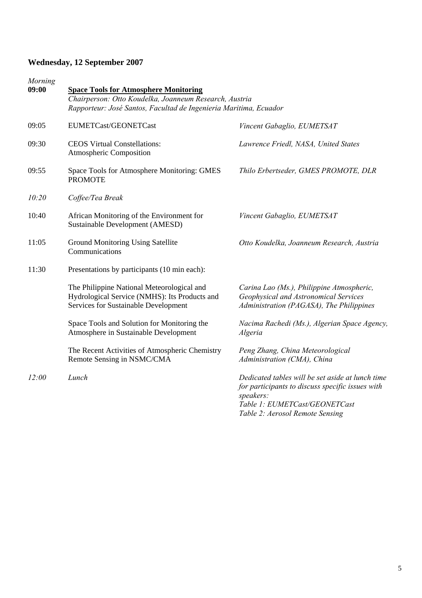# **Wednesday, 12 September 2007**

| Morning<br>09:00 | <b>Space Tools for Atmosphere Monitoring</b><br>Chairperson: Otto Koudelka, Joanneum Research, Austria<br>Rapporteur: José Santos, Facultad de Ingenieria Maritima, Ecuador |                                                                                                                                                                                       |  |
|------------------|-----------------------------------------------------------------------------------------------------------------------------------------------------------------------------|---------------------------------------------------------------------------------------------------------------------------------------------------------------------------------------|--|
| 09:05            | EUMETCast/GEONETCast                                                                                                                                                        | Vincent Gabaglio, EUMETSAT                                                                                                                                                            |  |
| 09:30            | <b>CEOS Virtual Constellations:</b><br>Atmospheric Composition                                                                                                              | Lawrence Friedl, NASA, United States                                                                                                                                                  |  |
| 09:55            | Space Tools for Atmosphere Monitoring: GMES<br><b>PROMOTE</b>                                                                                                               | Thilo Erbertseder, GMES PROMOTE, DLR                                                                                                                                                  |  |
| 10:20            | Coffee/Tea Break                                                                                                                                                            |                                                                                                                                                                                       |  |
| 10:40            | African Monitoring of the Environment for<br>Sustainable Development (AMESD)                                                                                                | Vincent Gabaglio, EUMETSAT                                                                                                                                                            |  |
| 11:05            | Ground Monitoring Using Satellite<br>Communications                                                                                                                         | Otto Koudelka, Joanneum Research, Austria                                                                                                                                             |  |
| 11:30            | Presentations by participants (10 min each):                                                                                                                                |                                                                                                                                                                                       |  |
|                  | The Philippine National Meteorological and<br>Hydrological Service (NMHS): Its Products and<br>Services for Sustainable Development                                         | Carina Lao (Ms.), Philippine Atmospheric,<br>Geophysical and Astronomical Services<br>Administration (PAGASA), The Philippines                                                        |  |
|                  | Space Tools and Solution for Monitoring the<br>Atmosphere in Sustainable Development                                                                                        | Nacima Rachedi (Ms.), Algerian Space Agency,<br>Algeria                                                                                                                               |  |
|                  | The Recent Activities of Atmospheric Chemistry<br>Remote Sensing in NSMC/CMA                                                                                                | Peng Zhang, China Meteorological<br>Administration (CMA), China                                                                                                                       |  |
| 12:00            | Lunch                                                                                                                                                                       | Dedicated tables will be set aside at lunch time<br>for participants to discuss specific issues with<br>speakers:<br>Table 1: EUMETCast/GEONETCast<br>Table 2: Aerosol Remote Sensing |  |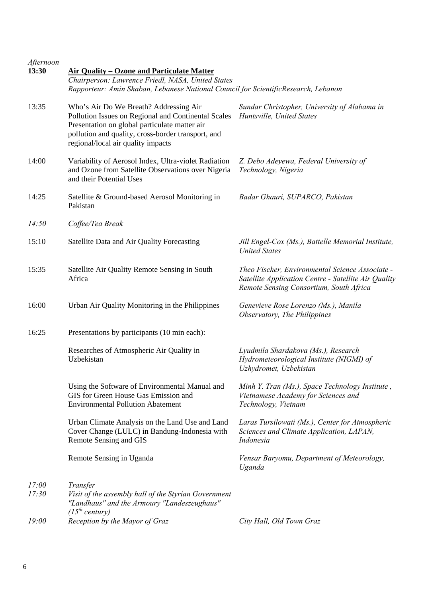| Afternoon<br>13:30 | <b>Air Quality - Ozone and Particulate Matter</b><br>Chairperson: Lawrence Friedl, NASA, United States<br>Rapporteur: Amin Shaban, Lebanese National Council for ScientificResearch, Lebanon                                               |                                                                                                                                                    |  |
|--------------------|--------------------------------------------------------------------------------------------------------------------------------------------------------------------------------------------------------------------------------------------|----------------------------------------------------------------------------------------------------------------------------------------------------|--|
| 13:35              | Who's Air Do We Breath? Addressing Air<br>Pollution Issues on Regional and Continental Scales<br>Presentation on global particulate matter air<br>pollution and quality, cross-border transport, and<br>regional/local air quality impacts | Sundar Christopher, University of Alabama in<br>Huntsville, United States                                                                          |  |
| 14:00              | Variability of Aerosol Index, Ultra-violet Radiation<br>and Ozone from Satellite Observations over Nigeria<br>and their Potential Uses                                                                                                     | Z. Debo Adeyewa, Federal University of<br>Technology, Nigeria                                                                                      |  |
| 14:25              | Satellite & Ground-based Aerosol Monitoring in<br>Pakistan                                                                                                                                                                                 | Badar Ghauri, SUPARCO, Pakistan                                                                                                                    |  |
| 14:50              | Coffee/Tea Break                                                                                                                                                                                                                           |                                                                                                                                                    |  |
| 15:10              | Satellite Data and Air Quality Forecasting                                                                                                                                                                                                 | Jill Engel-Cox (Ms.), Battelle Memorial Institute,<br><b>United States</b>                                                                         |  |
| 15:35              | Satellite Air Quality Remote Sensing in South<br>Africa                                                                                                                                                                                    | Theo Fischer, Environmental Science Associate -<br>Satellite Application Centre - Satellite Air Quality<br>Remote Sensing Consortium, South Africa |  |
| 16:00              | Urban Air Quality Monitoring in the Philippines                                                                                                                                                                                            | Genevieve Rose Lorenzo (Ms.), Manila<br>Observatory, The Philippines                                                                               |  |
| 16:25              | Presentations by participants (10 min each):                                                                                                                                                                                               |                                                                                                                                                    |  |
|                    | Researches of Atmospheric Air Quality in<br>Uzbekistan                                                                                                                                                                                     | Lyudmila Shardakova (Ms.), Research<br>Hydrometeorological Institute (NIGMI) of<br>Uzhydromet, Uzbekistan                                          |  |
|                    | Using the Software of Environmental Manual and<br>GIS for Green House Gas Emission and<br><b>Environmental Pollution Abatement</b>                                                                                                         | Minh Y. Tran (Ms.), Space Technology Institute,<br>Vietnamese Academy for Sciences and<br>Technology, Vietnam                                      |  |
|                    | Urban Climate Analysis on the Land Use and Land<br>Cover Change (LULC) in Bandung-Indonesia with<br>Remote Sensing and GIS                                                                                                                 | Laras Tursilowati (Ms.), Center for Atmospheric<br>Sciences and Climate Application, LAPAN,<br>Indonesia                                           |  |
|                    | Remote Sensing in Uganda                                                                                                                                                                                                                   | Vensar Baryomu, Department of Meteorology,<br>Uganda                                                                                               |  |
| 17:00<br>17:30     | Transfer<br>Visit of the assembly hall of the Styrian Government<br>"Landhaus" and the Armoury "Landeszeughaus"<br>$(15^{th}$ century)                                                                                                     |                                                                                                                                                    |  |
| 19:00              | Reception by the Mayor of Graz                                                                                                                                                                                                             | City Hall, Old Town Graz                                                                                                                           |  |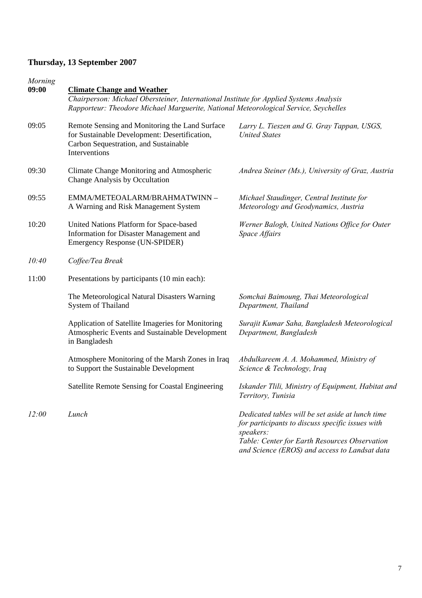## **Thursday, 13 September 2007**

| Morning<br>09:00 |                                                                                                                                                                                                                     |                                                                                                                                                                                                                     |  |
|------------------|---------------------------------------------------------------------------------------------------------------------------------------------------------------------------------------------------------------------|---------------------------------------------------------------------------------------------------------------------------------------------------------------------------------------------------------------------|--|
|                  | <b>Climate Change and Weather</b><br>Chairperson: Michael Obersteiner, International Institute for Applied Systems Analysis<br>Rapporteur: Theodore Michael Marguerite, National Meteorological Service, Seychelles |                                                                                                                                                                                                                     |  |
| 09:05            | Remote Sensing and Monitoring the Land Surface<br>for Sustainable Development: Desertification,<br>Carbon Sequestration, and Sustainable<br>Interventions                                                           | Larry L. Tieszen and G. Gray Tappan, USGS,<br><b>United States</b>                                                                                                                                                  |  |
| 09:30            | Climate Change Monitoring and Atmospheric<br>Change Analysis by Occultation                                                                                                                                         | Andrea Steiner (Ms.), University of Graz, Austria                                                                                                                                                                   |  |
| 09:55            | EMMA/METEOALARM/BRAHMATWINN -<br>A Warning and Risk Management System                                                                                                                                               | Michael Staudinger, Central Institute for<br>Meteorology and Geodynamics, Austria                                                                                                                                   |  |
| 10:20            | United Nations Platform for Space-based<br>Information for Disaster Management and<br>Emergency Response (UN-SPIDER)                                                                                                | Werner Balogh, United Nations Office for Outer<br>Space Affairs                                                                                                                                                     |  |
| 10:40            | Coffee/Tea Break                                                                                                                                                                                                    |                                                                                                                                                                                                                     |  |
| 11:00            | Presentations by participants (10 min each):                                                                                                                                                                        |                                                                                                                                                                                                                     |  |
|                  | The Meteorological Natural Disasters Warning<br>System of Thailand                                                                                                                                                  | Somchai Baimoung, Thai Meteorological<br>Department, Thailand                                                                                                                                                       |  |
|                  | Application of Satellite Imageries for Monitoring<br>Atmospheric Events and Sustainable Development<br>in Bangladesh                                                                                                | Surajit Kumar Saha, Bangladesh Meteorological<br>Department, Bangladesh                                                                                                                                             |  |
|                  | Atmosphere Monitoring of the Marsh Zones in Iraq<br>to Support the Sustainable Development                                                                                                                          | Abdulkareem A. A. Mohammed, Ministry of<br>Science & Technology, Iraq                                                                                                                                               |  |
|                  | Satellite Remote Sensing for Coastal Engineering                                                                                                                                                                    | Iskander Tlili, Ministry of Equipment, Habitat and<br>Territory, Tunisia                                                                                                                                            |  |
| 12:00            | Lunch                                                                                                                                                                                                               | Dedicated tables will be set aside at lunch time<br>for participants to discuss specific issues with<br>speakers:<br>Table: Center for Earth Resources Observation<br>and Science (EROS) and access to Landsat data |  |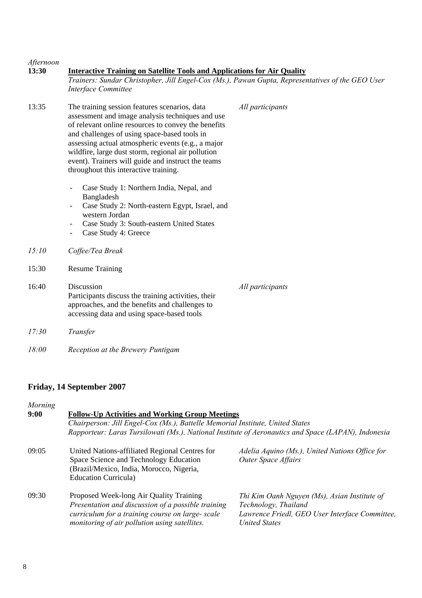| Afternoon<br>13:30 | <b>Interactive Training on Satellite Tools and Applications for Air Quality</b><br>Trainers: Sundar Christopher, Jill Engel-Cox (Ms.), Pawan Gupta, Representatives of the GEO User<br>Interface Committee                                                                                                                                                                                                          |                  |  |
|--------------------|---------------------------------------------------------------------------------------------------------------------------------------------------------------------------------------------------------------------------------------------------------------------------------------------------------------------------------------------------------------------------------------------------------------------|------------------|--|
| 13:35              | The training session features scenarios, data<br>assessment and image analysis techniques and use<br>of relevant online resources to convey the benefits<br>and challenges of using space-based tools in<br>assessing actual atmospheric events (e.g., a major<br>wildfire, large dust storm, regional air pollution<br>event). Trainers will guide and instruct the teams<br>throughout this interactive training. | All participants |  |
|                    | Case Study 1: Northern India, Nepal, and<br>Bangladesh<br>Case Study 2: North-eastern Egypt, Israel, and<br>western Jordan<br>Case Study 3: South-eastern United States<br>$\overline{\phantom{a}}$<br>Case Study 4: Greece<br>$\overline{\phantom{a}}$                                                                                                                                                             |                  |  |
| 15:10              | Coffee/Tea Break                                                                                                                                                                                                                                                                                                                                                                                                    |                  |  |
| 15:30              | <b>Resume Training</b>                                                                                                                                                                                                                                                                                                                                                                                              |                  |  |
| 16:40              | Discussion<br>Participants discuss the training activities, their<br>approaches, and the benefits and challenges to<br>accessing data and using space-based tools                                                                                                                                                                                                                                                   | All participants |  |
| 17:30              | Transfer                                                                                                                                                                                                                                                                                                                                                                                                            |                  |  |
| 18:00              | Reception at the Brewery Puntigam                                                                                                                                                                                                                                                                                                                                                                                   |                  |  |

## **Friday, 14 September 2007**

| Morning |                                                                                                                                                                                                    |                                                                                                                                                |  |
|---------|----------------------------------------------------------------------------------------------------------------------------------------------------------------------------------------------------|------------------------------------------------------------------------------------------------------------------------------------------------|--|
| 9:00    | <b>Follow-Up Activities and Working Group Meetings</b>                                                                                                                                             |                                                                                                                                                |  |
|         | Chairperson: Jill Engel-Cox (Ms.), Battelle Memorial Institute, United States                                                                                                                      |                                                                                                                                                |  |
|         | Rapporteur: Laras Tursilowati (Ms.), National Institute of Aeronautics and Space (LAPAN), Indonesia                                                                                                |                                                                                                                                                |  |
| 09:05   | United Nations-affiliated Regional Centres for<br>Space Science and Technology Education<br>(Brazil/Mexico, India, Morocco, Nigeria,<br><b>Education Curricula</b> )                               | Adelia Aquino (Ms.), United Nations Office for<br><b>Outer Space Affairs</b>                                                                   |  |
| 09:30   | Proposed Week-long Air Quality Training<br>Presentation and discussion of a possible training<br>curriculum for a training course on large- scale<br>monitoring of air pollution using satellites. | Thi Kim Oanh Nguyen (Ms), Asian Institute of<br>Technology, Thailand<br>Lawrence Friedl, GEO User Interface Committee,<br><b>United States</b> |  |